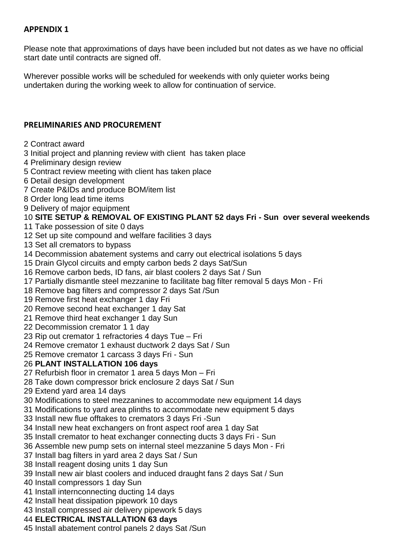## **APPENDIX 1**

Please note that approximations of days have been included but not dates as we have no official start date until contracts are signed off.

Wherever possible works will be scheduled for weekends with only quieter works being undertaken during the working week to allow for continuation of service.

## **PRELIMINARIES AND PROCUREMENT**

- Contract award
- Initial project and planning review with client has taken place
- Preliminary design review
- Contract review meeting with client has taken place
- Detail design development
- Create P&IDs and produce BOM/item list
- Order long lead time items
- Delivery of major equipment

### **SITE SETUP & REMOVAL OF EXISTING PLANT 52 days Fri - Sun over several weekends**

- Take possession of site 0 days
- Set up site compound and welfare facilities 3 days
- Set all cremators to bypass
- Decommission abatement systems and carry out electrical isolations 5 days
- Drain Glycol circuits and empty carbon beds 2 days Sat/Sun
- Remove carbon beds, ID fans, air blast coolers 2 days Sat / Sun
- Partially dismantle steel mezzanine to facilitate bag filter removal 5 days Mon Fri
- Remove bag filters and compressor 2 days Sat /Sun
- Remove first heat exchanger 1 day Fri
- Remove second heat exchanger 1 day Sat
- Remove third heat exchanger 1 day Sun
- Decommission cremator 1 1 day
- Rip out cremator 1 refractories 4 days Tue Fri
- Remove cremator 1 exhaust ductwork 2 days Sat / Sun
- Remove cremator 1 carcass 3 days Fri Sun

### **PLANT INSTALLATION 106 days**

- Refurbish floor in cremator 1 area 5 days Mon Fri
- 28 Take down compressor brick enclosure 2 days Sat / Sun
- Extend yard area 14 days
- Modifications to steel mezzanines to accommodate new equipment 14 days
- Modifications to yard area plinths to accommodate new equipment 5 days
- Install new flue offtakes to cremators 3 days Fri -Sun
- Install new heat exchangers on front aspect roof area 1 day Sat
- Install cremator to heat exchanger connecting ducts 3 days Fri Sun
- Assemble new pump sets on internal steel mezzanine 5 days Mon Fri
- Install bag filters in yard area 2 days Sat / Sun
- Install reagent dosing units 1 day Sun
- Install new air blast coolers and induced draught fans 2 days Sat / Sun
- Install compressors 1 day Sun
- Install internconnecting ducting 14 days
- Install heat dissipation pipework 10 days
- Install compressed air delivery pipework 5 days
- **ELECTRICAL INSTALLATION 63 days**
- Install abatement control panels 2 days Sat /Sun